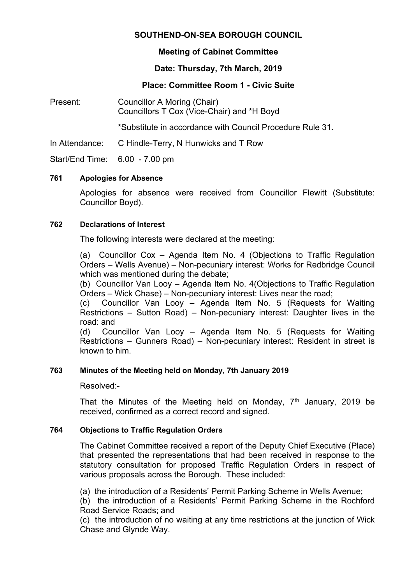### **SOUTHEND-ON-SEA BOROUGH COUNCIL**

### **Meeting of Cabinet Committee**

# **Date: Thursday, 7th March, 2019**

# **Place: Committee Room 1 - Civic Suite**

Present: Councillor A Moring (Chair) Councillors T Cox (Vice-Chair) and \*H Boyd

\*Substitute in accordance with Council Procedure Rule 31.

In Attendance: C Hindle-Terry, N Hunwicks and T Row

Start/End Time: 6.00 - 7.00 pm

### **761 Apologies for Absence**

Apologies for absence were received from Councillor Flewitt (Substitute: Councillor Boyd).

### **762 Declarations of Interest**

The following interests were declared at the meeting:

(a) Councillor Cox – Agenda Item No. 4 (Objections to Traffic Regulation Orders – Wells Avenue) – Non-pecuniary interest: Works for Redbridge Council which was mentioned during the debate;

(b) Councillor Van Looy – Agenda Item No. 4(Objections to Traffic Regulation Orders – Wick Chase) – Non-pecuniary interest: Lives near the road;

(c) Councillor Van Looy – Agenda Item No. 5 (Requests for Waiting Restrictions – Sutton Road) – Non-pecuniary interest: Daughter lives in the road: and

(d) Councillor Van Looy – Agenda Item No. 5 (Requests for Waiting Restrictions – Gunners Road) – Non-pecuniary interest: Resident in street is known to him.

### **763 Minutes of the Meeting held on Monday, 7th January 2019**

Resolved:-

That the Minutes of the Meeting held on Monday,  $7<sup>th</sup>$  January, 2019 be received, confirmed as a correct record and signed.

### **764 Objections to Traffic Regulation Orders**

The Cabinet Committee received a report of the Deputy Chief Executive (Place) that presented the representations that had been received in response to the statutory consultation for proposed Traffic Regulation Orders in respect of various proposals across the Borough. These included:

(a) the introduction of a Residents' Permit Parking Scheme in Wells Avenue;

(b) the introduction of a Residents' Permit Parking Scheme in the Rochford Road Service Roads; and

(c) the introduction of no waiting at any time restrictions at the junction of Wick Chase and Glynde Way.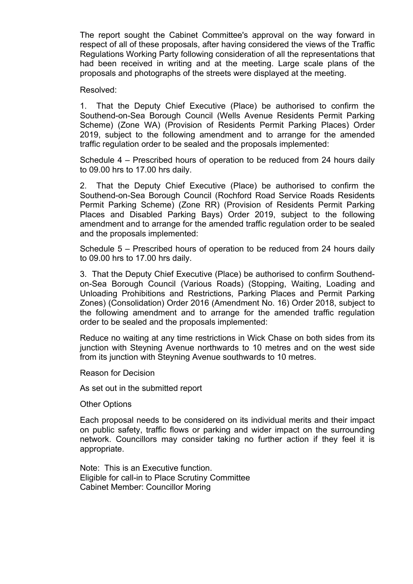The report sought the Cabinet Committee's approval on the way forward in respect of all of these proposals, after having considered the views of the Traffic Regulations Working Party following consideration of all the representations that had been received in writing and at the meeting. Large scale plans of the proposals and photographs of the streets were displayed at the meeting.

#### Resolved:

1. That the Deputy Chief Executive (Place) be authorised to confirm the Southend-on-Sea Borough Council (Wells Avenue Residents Permit Parking Scheme) (Zone WA) (Provision of Residents Permit Parking Places) Order 2019, subject to the following amendment and to arrange for the amended traffic regulation order to be sealed and the proposals implemented:

Schedule 4 – Prescribed hours of operation to be reduced from 24 hours daily to 09.00 hrs to 17.00 hrs daily.

2. That the Deputy Chief Executive (Place) be authorised to confirm the Southend-on-Sea Borough Council (Rochford Road Service Roads Residents Permit Parking Scheme) (Zone RR) (Provision of Residents Permit Parking Places and Disabled Parking Bays) Order 2019, subject to the following amendment and to arrange for the amended traffic regulation order to be sealed and the proposals implemented:

Schedule 5 – Prescribed hours of operation to be reduced from 24 hours daily to 09.00 hrs to 17.00 hrs daily.

3. That the Deputy Chief Executive (Place) be authorised to confirm Southendon-Sea Borough Council (Various Roads) (Stopping, Waiting, Loading and Unloading Prohibitions and Restrictions, Parking Places and Permit Parking Zones) (Consolidation) Order 2016 (Amendment No. 16) Order 2018, subject to the following amendment and to arrange for the amended traffic regulation order to be sealed and the proposals implemented:

Reduce no waiting at any time restrictions in Wick Chase on both sides from its junction with Steyning Avenue northwards to 10 metres and on the west side from its junction with Steyning Avenue southwards to 10 metres.

Reason for Decision

As set out in the submitted report

Other Options

Each proposal needs to be considered on its individual merits and their impact on public safety, traffic flows or parking and wider impact on the surrounding network. Councillors may consider taking no further action if they feel it is appropriate.

Note: This is an Executive function. Eligible for call-in to Place Scrutiny Committee Cabinet Member: Councillor Moring